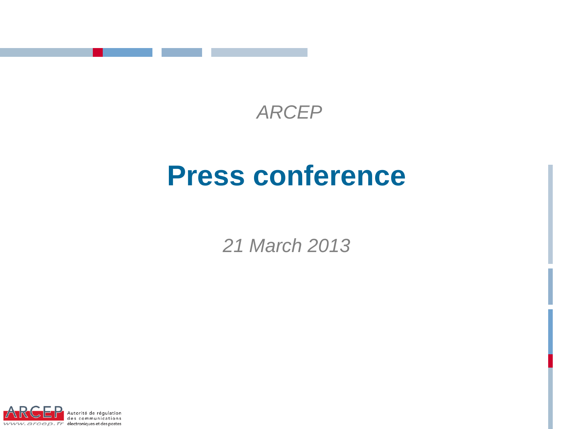

## *ARCEP*

# **Press conference**

*21 March 2013*

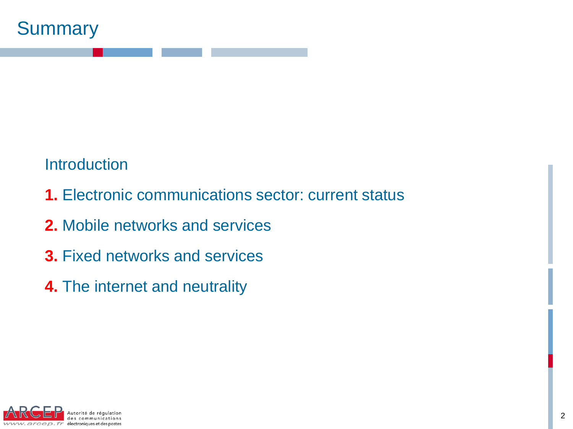

**Introduction** 

- **1.** Electronic communications sector: current status
- **2.** Mobile networks and services
- **3.** Fixed networks and services
- **4.** The internet and neutrality

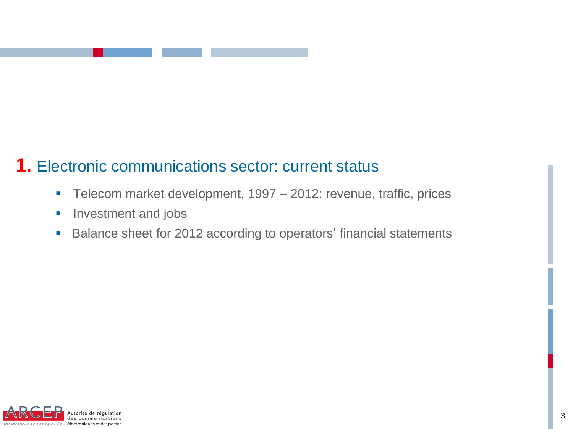### **1.** Electronic communications sector: current status

- Telecom market development, 1997 2012: revenue, traffic, prices
- **Investment and jobs**
- **Balance sheet for 2012 according to operators' financial statements**

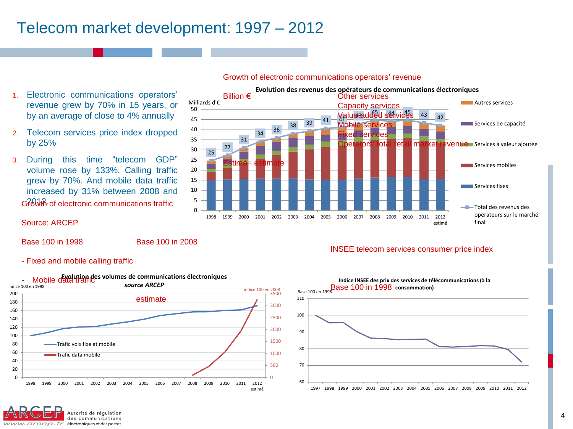### Telecom market development: 1997 – 2012

- 1. Electronic communications operators' revenue grew by 70% in 15 years, or by an average of close to 4% annually
- 2. Telecom services price index dropped by 25%
- 3. During this time "telecom GDP" volume rose by 133%. Calling traffic grew by 70%. And mobile data traffic increased by 31% between 2008 and Gfowth of electronic communications traffic



#### Growth of electronic communications operators' revenue

#### Source: ARCEP

Base 100 in 1998 Base 100 in 2008

#### INSEE telecom services consumer price index

- Fixed and mobile calling traffic





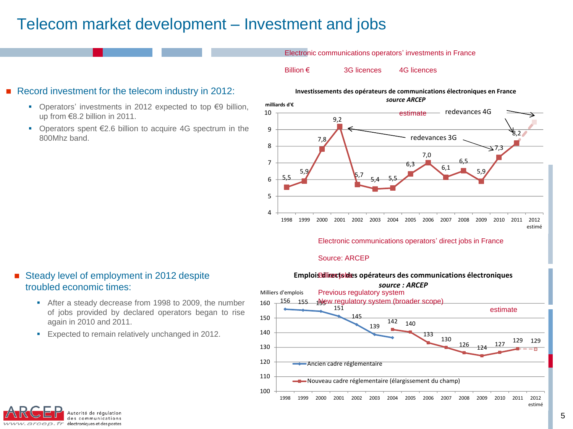### Telecom market development – Investment and jobs

Electronic communications operators' investments in France

Billion € 3G licences 4G licences

#### Record investment for the telecom industry in 2012:

- Operators' investments in 2012 expected to top €9 billion, up from €8.2 billion in 2011.
- Operators spent €2.6 billion to acquire 4G spectrum in the 800Mhz band.

#### **Investissements des opérateurs de communications électroniques en France** *source ARCEP*



#### Electronic communications operators' direct jobs in France

#### Source: ARCEP



### Steady level of employment in 2012 despite troubled economic times:

- After a steady decrease from 1998 to 2009, the number of jobs provided by declared operators began to rise again in 2010 and 2011.
- **Expected to remain relatively unchanged in 2012.**

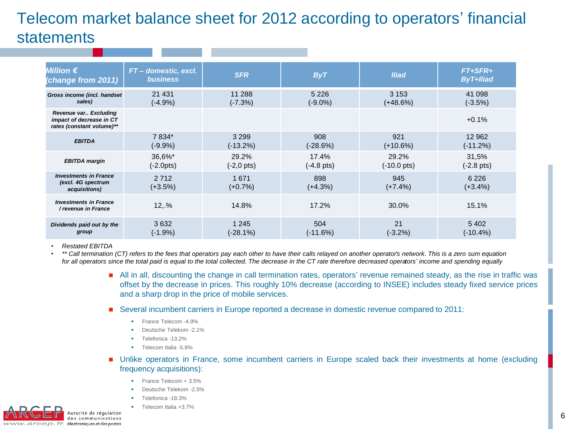### Telecom market balance sheet for 2012 according to operators' financial **statements**

| Million $\bm{\epsilon}$<br>(change from 2011)                                  | FT-domestic, excl.<br><b>business</b> | <b>SFR</b>        | <b>ByT</b>           | <b>Iliad</b>          | FT+SFR+<br><b>ByT+Iliad</b> |
|--------------------------------------------------------------------------------|---------------------------------------|-------------------|----------------------|-----------------------|-----------------------------|
| Gross income (incl. handset                                                    | 21 4 31                               | 11 288            | 5 2 2 6              | 3 1 5 3               | 41 098                      |
| sales)                                                                         | $(-4.9%)$                             | $(-7.3%)$         | $(-9.0\%)$           | $(+48.6%)$            | $(-3.5%)$                   |
| Revenue var Excluding<br>impact of decrease in CT<br>rates (constant volume)** |                                       |                   |                      |                       | $+0.1%$                     |
| <b>EBITDA</b>                                                                  | 7 834*                                | 3 2 9 9           | 908                  | 921                   | 12 962                      |
|                                                                                | $(-9.9\%)$                            | $(-13.2%)$        | $(-28.6%)$           | $(+10.6%)$            | $(-11.2%)$                  |
| <b>EBITDA</b> margin                                                           | 36,6%*                                | 29.2%             | 17.4%                | 29.2%                 | 31,5%                       |
|                                                                                | (-2.0pts)                             | (-2,0 pts)        | $(-4.8 \text{ pts})$ | $(-10.0 \text{ pts})$ | $(-2.8 \text{ pts})$        |
| <b>Investments in France</b><br>(excl. 4G spectrum<br>acquisitions)            | 2712<br>$(+3.5%)$                     | 1671<br>$(+0.7%)$ | 898<br>$(+4.3%)$     | 945<br>$(+7.4%)$      | 6 2 2 6<br>$(+3.4\%)$       |
| <b>Investments in France</b><br>/ revenue in France                            | 12.96                                 | 14.8%             | 17.2%                | 30.0%                 | 15.1%                       |
| Dividends paid out by the                                                      | 3632                                  | 1 2 4 5           | 504                  | 21                    | 5402                        |
| group                                                                          | $(-1.9%)$                             | (-28.1%)          | $(-11.6%)$           | (-3.2%)               | $(-10.4\%)$                 |

• *Restated EBITDA* 

• *\*\* Call termination (CT) refers to the fees that operators pay each other to have their calls relayed on another operator's network. This is a zero sum equation for all operators since the total paid is equal to the total collected. The decrease in the CT rate therefore decreased operators' income and spending equally*

- All in all, discounting the change in call termination rates, operators' revenue remained steady, as the rise in traffic was offset by the decrease in prices. This roughly 10% decrease (according to INSEE) includes steady fixed service prices and a sharp drop in the price of mobile services.
- Several incumbent carriers in Europe reported a decrease in domestic revenue compared to 2011:
	- **France Telecom -4.9%**
	- Deutsche Telekom 2.1%
	- Telefonica -13.2%
	- **Telecom Italia -5.8%**
- Unlike operators in France, some incumbent carriers in Europe scaled back their investments at home (excluding frequency acquisitions):
	- **France Telecom + 3.5%**
	- Deutsche Telekom -2.5%
	- Telefonica -18.3%
	- Telecom Italia +3.7%

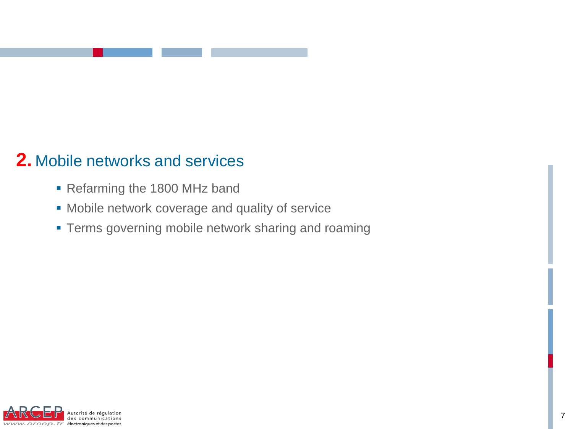### **2.** Mobile networks and services

- Refarming the 1800 MHz band
- **Mobile network coverage and quality of service**
- **Terms governing mobile network sharing and roaming**

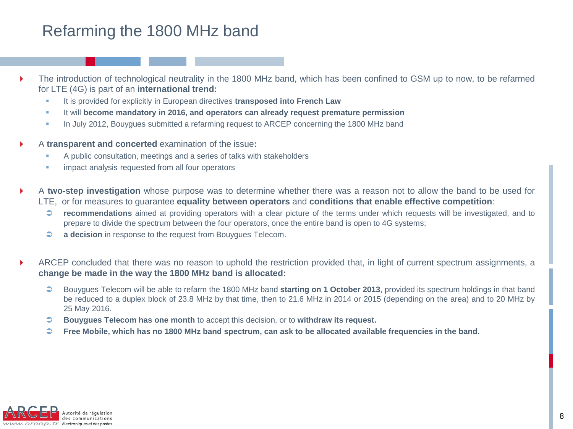### Refarming the 1800 MHz band

- The introduction of technological neutrality in the 1800 MHz band, which has been confined to GSM up to now, to be refarmed for LTE (4G) is part of an **international trend:**
	- It is provided for explicitly in European directives **transposed into French Law**
	- It will **become mandatory in 2016, and operators can already request premature permission**
	- In July 2012, Bouygues submitted a refarming request to ARCEP concerning the 1800 MHz band
- A **transparent and concerted** examination of the issue**:**
	- A public consultation, meetings and a series of talks with stakeholders
	- **EXECUTE:** impact analysis requested from all four operators
- A **two-step investigation** whose purpose was to determine whether there was a reason not to allow the band to be used for LTE, or for measures to guarantee **equality between operators** and **conditions that enable effective competition**:
	- **recommendations** aimed at providing operators with a clear picture of the terms under which requests will be investigated, and to prepare to divide the spectrum between the four operators, once the entire band is open to 4G systems;
	- **a decision** in response to the request from Bouygues Telecom.
- ARCEP concluded that there was no reason to uphold the restriction provided that, in light of current spectrum assignments, a **change be made in the way the 1800 MHz band is allocated:**
	- Bouygues Telecom will be able to refarm the 1800 MHz band **starting on 1 October 2013**, provided its spectrum holdings in that band be reduced to a duplex block of 23.8 MHz by that time, then to 21.6 MHz in 2014 or 2015 (depending on the area) and to 20 MHz by 25 May 2016.
	- **Bouygues Telecom has one month** to accept this decision, or to **withdraw its request.**
	- $\heartsuit$  Free Mobile, which has no 1800 MHz band spectrum, can ask to be allocated available frequencies in the band.

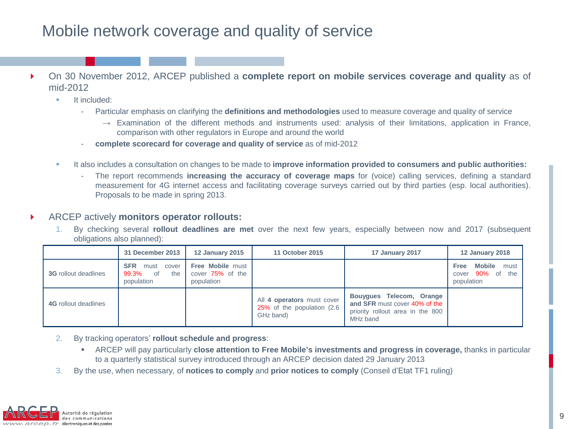### Mobile network coverage and quality of service

- On 30 November 2012, ARCEP published a **complete report on mobile services coverage and quality** as of mid-2012
	- $\blacksquare$ It included:
		- Particular emphasis on clarifying the **definitions and methodologies** used to measure coverage and quality of service
			- $\rightarrow$  Examination of the different methods and instruments used: analysis of their limitations, application in France, comparison with other regulators in Europe and around the world
		- **complete scorecard for coverage and quality of service** as of mid-2012
	- It also includes a consultation on changes to be made to **improve information provided to consumers and public authorities:**
		- The report recommends **increasing the accuracy of coverage maps** for (voice) calling services, defining a standard measurement for 4G internet access and facilitating coverage surveys carried out by third parties (esp. local authorities). Proposals to be made in spring 2013.

#### ARCEP actively **monitors operator rollouts:**

1. By checking several **rollout deadlines are met** over the next few years, especially between now and 2017 (subsequent obligations also planned):

|                             | 31 December 2013                                                | <b>12 January 2015</b>                                    | 11 October 2015                                                        | 17 January 2017                                                                                           | <b>12 January 2018</b>                                          |
|-----------------------------|-----------------------------------------------------------------|-----------------------------------------------------------|------------------------------------------------------------------------|-----------------------------------------------------------------------------------------------------------|-----------------------------------------------------------------|
| <b>3G</b> rollout deadlines | <b>SFR</b><br>cover<br>must<br>99.3%<br>the<br>0f<br>population | <b>Free Mobile must</b><br>cover 75% of the<br>population |                                                                        |                                                                                                           | <b>Mobile</b><br>must<br>Free<br>cover 90% of the<br>population |
| <b>4G</b> rollout deadlines |                                                                 |                                                           | All 4 operators must cover<br>25% of the population (2.6)<br>GHz band) | Bouyques Telecom, Orange<br>and SFR must cover 40% of the<br>priority rollout area in the 800<br>MHz band |                                                                 |

- 2. By tracking operators' **rollout schedule and progress**:
	- ARCEP will pay particularly **close attention to Free Mobile's investments and progress in coverage,** thanks in particular to a quarterly statistical survey introduced through an ARCEP decision dated 29 January 2013
- 3. By the use, when necessary, of **notices to comply** and **prior notices to comply** (Conseil d'Etat TF1 ruling)

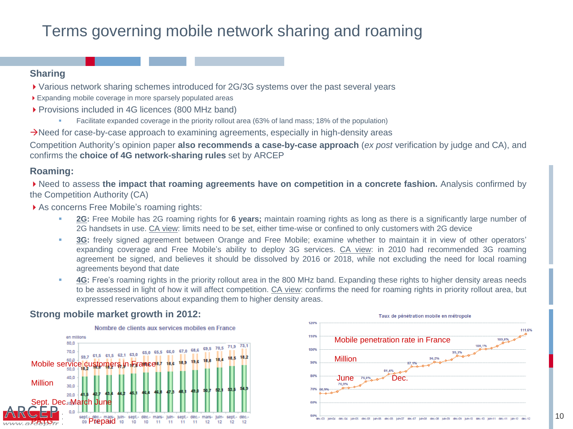### Terms governing mobile network sharing and roaming

#### **Sharing**

- Various network sharing schemes introduced for 2G/3G systems over the past several years
- Expanding mobile coverage in more sparsely populated areas
- ▶ Provisions included in 4G licences (800 MHz band)
	- Facilitate expanded coverage in the priority rollout area (63% of land mass; 18% of the population)

Need for case-by-case approach to examining agreements, especially in high-density areas

Competition Authority's opinion paper **also recommends a case-by-case approach** (*ex post* verification by judge and CA), and confirms the **choice of 4G network-sharing rules** set by ARCEP

### **Roaming:**

Need to assess **the impact that roaming agreements have on competition in a concrete fashion.** Analysis confirmed by the Competition Authority (CA)

▶ As concerns Free Mobile's roaming rights:

- **2G:** Free Mobile has 2G roaming rights for **6 years;** maintain roaming rights as long as there is a significantly large number of 2G handsets in use. CA view: limits need to be set, either time-wise or confined to only customers with 2G device
- **3G:** freely signed agreement between Orange and Free Mobile; examine whether to maintain it in view of other operators' expanding coverage and Free Mobile's ability to deploy 3G services. CA view: in 2010 had recommended 3G roaming agreement be signed, and believes it should be dissolved by 2016 or 2018, while not excluding the need for local roaming agreements beyond that date
- **4G:** Free's roaming rights in the priority rollout area in the 800 MHz band. Expanding these rights to higher density areas needs to be assessed in light of how it will affect competition. CA view: confirms the need for roaming rights in priority rollout area, but expressed reservations about expanding them to higher density areas.

### **Strong mobile market growth in 2012:**



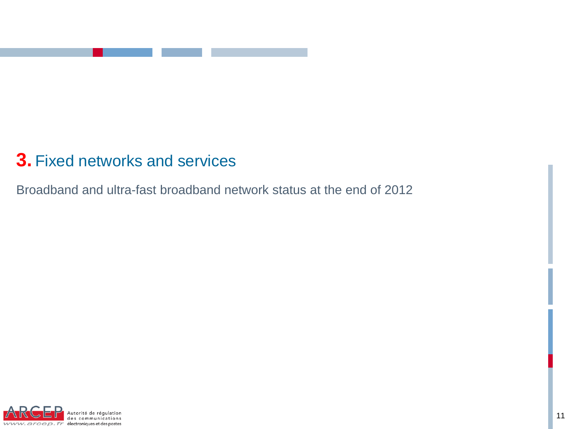

### **3.** Fixed networks and services

Broadband and ultra-fast broadband network status at the end of 2012

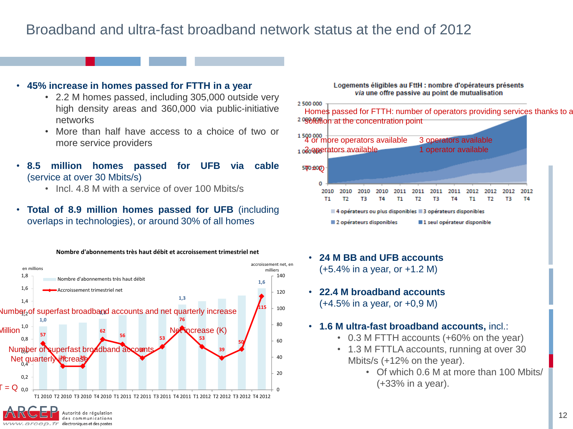### Broadband and ultra-fast broadband network status at the end of 2012

#### • **45% increase in homes passed for FTTH in a year**

- 2.2 M homes passed, including 305,000 outside very high density areas and 360,000 via public-initiative networks
- More than half have access to a choice of two or more service providers
- **8.5 million homes passed for UFB via cable** (service at over 30 Mbits/s)
	- Incl. 4.8 M with a service of over 100 Mbits/s
- **Total of 8.9 million homes passed for UFB** (including overlaps in technologies), or around 30% of all homes



#### Logements éligibles au FttH : nombre d'opérateurs présents via une offre passive au point de mutualisation



- **24 M BB and UFB accounts** (+5.4% in a year, or +1.2 M)
- **22.4 M broadband accounts** (+4.5% in a year, or +0,9 M)
- **1.6 M ultra-fast broadband accounts,** incl.:
	- 0.3 M FTTH accounts (+60% on the year)
	- 1.3 M FTTLA accounts, running at over 30 Mbits/s (+12% on the year).
		- Of which 0.6 M at more than 100 Mbits/ (+33% in a year).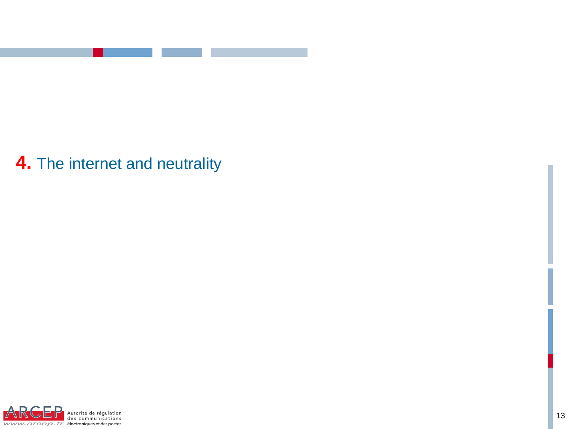

## **4.** The internet and neutrality